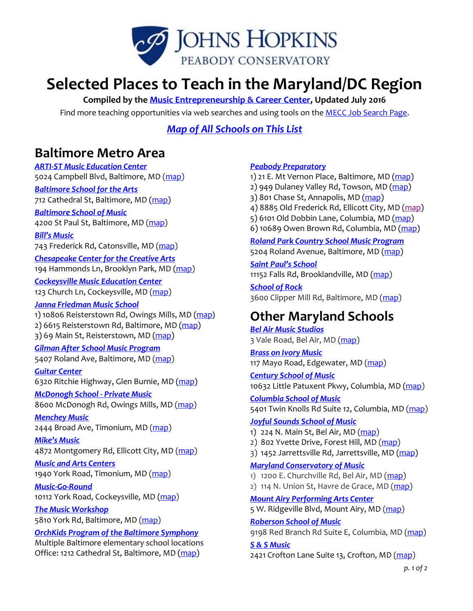

# **Selected Places to Teach in the Maryland/DC Region**

**Compiled by the [Music Entrepreneurship & Career Center,](http://www.peabody.jhu.edu/conservatory/mecc) Updated July 2016**

Find more teaching opportunities via web searches and using tools on the **MECC Job Search Page**.

*[Map of All Schools on This List](https://www.google.com/maps/d/edit?mid=zSsATftEpcv8.kzJ1clf0PqTs&usp=sharing)*

### **Baltimore Metro Area**

*[ARTI-ST Music Education Center](http://www.artistmusic.org/employment-opportunities.html)* 5024 Campbell Blvd, Baltimore, MD [\(map\)](https://www.google.com/maps/place/5024+Campbell+Blvd,+Nottingham,+MD+21236/@39.3772558,-76.4959233,12z/data=!4m2!3m1!1s0x89c7e29e29fa700d:0x7051fb36ad577d92)

#### *[Baltimore School for the Arts](http://www.bsfa.org/careers/jobs)*

712 Cathedral St, Baltimore, MD [\(map\)](https://www.google.com/maps?q=712+cathedral+st+baltimore&oe=utf-8&um=1&ie=UTF-8&sa=X&ei=XyPeVJmtAYKgNs3ugsgM&ved=0CAgQ_AUoAQ)

### *[Baltimore School of Music](http://www.baltimoreschoolofmusic.org/employment/)*

4200 St Paul St, Baltimore, MD [\(map\)](https://goo.gl/maps/RMnBo8QoRGw)

#### *[Bill's Music](https://www.billsmusic.com/music-instructors/)*

743 Frederick Rd, Catonsville, MD [\(map\)](https://www.google.com/maps/place/743+Frederick+Rd,+Catonsville,+MD+21228/@39.2693966,-76.7581218,12z/data=!4m2!3m1!1s0x89c81c27fa4ad585:0xc5c7760afe8eb418)

*[Chesapeake Center for the Creative Arts](http://www.chesapeakearts.org/)* 194 Hammonds Ln, Brooklyn Park, MD [\(map\)](https://www.google.com/maps/place/194+Hammonds+Ln,+Brooklyn+Park,+MD+21225/@39.2444281,-76.6324231,13z/data=!4m2!3m1!1s0x89c802980ab6b893:0xe1a57d07d7a194f6)

*[Cockeysville Music Education Center](http://www.cockeysvillemusic.com/)* 123 Church Ln, Cockeysville, MD [\(map\)](https://www.google.com/maps/place/123+Church+Ln,+Cockeysville,+MD+21030/@39.4330564,-76.7547712,11z/data=!4m2!3m1!1s0x89c80df809605bbb:0xf4c422df6f388cb0)

#### *[Janna Friedman Music School](http://bmsmd.org/)*

1) 10806 Reisterstown Rd, Owings Mills, MD [\(map](https://goo.gl/maps/1ARmE5aDak92)) 2) 6615 Reisterstown Rd, Baltimore, MD [\(map\)](https://goo.gl/maps/2UUfca3XoLx) 3) 69 Main St, Reisterstown, MD [\(map\)](https://goo.gl/maps/j5VMfVyodt62)

#### *[Gilman After School Music Program](http://www.gilman.edu/arts/music/after-school-music-program)*

5407 Roland Ave, Baltimore, MD [\(map\)](https://www.google.com/maps/place/5407+Roland+Ave,+Baltimore,+MD+21210/@39.3477065,-76.6506238,13z/data=!4m2!3m1!1s0x89c8054e0e4310ed:0xfeb2f680e16f399c)

### *[Guitar Center](http://stores.guitarcenter.com/glen-burnie)*

6320 Ritchie Highway, Glen Burnie, MD [\(map\)](https://goo.gl/maps/qqXiY7ga6Mo)

#### *[McDonogh School -](http://www.mcdonogh.org/c/arts/private-music) Private Music* 8600 McDonogh Rd, Owings Mills, MD [\(map\)](https://www.google.com/maps/place/8600+McDonogh+Rd,+Owings+Mills,+MD+21117/@39.3853051,-76.7703936,12z/data=!4m2!3m1!1s0x89c8177c74a44e69:0x4b0e45216c8746b0)

*[Menchey Music](http://www.mencheymusic.com/about/job-openings/)* 2444 Broad Ave, Timonium, MD [\(map\)](https://goo.gl/maps/TCf5cHY14952)

#### *[Mike's Music](http://www.mikesmusicmd.com/)* 4872 Montgomery Rd, Ellicott City, MD [\(map\)](https://www.google.com/maps/place/4872+Montgomery+Rd,+Ellicott+City,+MD+21043/@39.2386211,-76.7906791,12z/data=!4m2!3m1!1s0x89c81fdcd9ccac61:0xd37ae399b29d6dda)

#### *[Music and Arts Centers](http://www.musicarts.com/)* 1940 York Road, Timonium, MD [\(map\)](https://www.google.com/maps/place/1940+York+Rd,+Lutherville-Timonium,+MD+21093/@39.4086347,-76.6679332,12z/data=!4m2!3m1!1s0x89c80e16bddd8793:0x9caf66fff5004aa5)

*[Music-Go-Round](http://www.musicgoroundcockeysville.com/lessons)* 10112 York Road, Cockeysville, MD [\(map\)](https://www.google.com/maps/place/10112+York+Rd,+Cockeysville,+MD+21030/@39.4056385,-76.6591399,12z/data=!4m2!3m1!1s0x89c80df76cb82ce9:0xef2b170f0f9bffc0)

#### *[The Music Workshop](http://musicworkshopschool.com/)*

5810 York Rd, Baltimore, MD [\(map\)](https://www.google.com/maps/place/5810+York+Rd,+Baltimore,+MD+21212/@39.3483823,-76.6119647,13z/data=!4m2!3m1!1s0x89c805644d4c1303:0x92e32b747c4df61e)

#### *OrchKids Program [of the Baltimore Symphony](http://bsomusic.org/about/employment-opportunities/orchkids.aspx)*

Multiple Baltimore elementary school locations Office: 1212 Cathedral St, Baltimore, MD [\(map\)](https://goo.gl/maps/g6xCfJGdWQ22)

#### *[Peabody Preparatory](http://www.peabody.jhu.edu/preparatory/about/Teaching%20Positions)*

1) 21 E. Mt Vernon Place, Baltimore, MD [\(map\)](https://goo.gl/maps/P8FCbWMT6js)

- 2) 949 Dulaney Valley Rd, Towson, MD [\(map\)](https://goo.gl/maps/ff5fJVFUXDq)
- 3) 801 Chase St, Annapolis, MD [\(map\)](https://goo.gl/maps/UB5SxBsWVGz)
- 4) 8885 Old Frederick Rd, Ellicott City, MD [\(map\)](https://goo.gl/maps/ngNU9qo6Nz92)
- 5) 6101 Old Dobbin Lane, Columbia, MD [\(map\)](https://goo.gl/maps/9LjVVeJNaXy)
- 6) 10689 Owen Brown Rd, Columbia, MD [\(map\)](https://goo.gl/maps/ovAHAQG5gH92)

*[Roland Park Country School Music Program](https://www.rpcs.org/pages/academics/academics---after-school-music-program)* 5204 Roland Avenue, Baltimore, MD [\(map\)](https://www.google.com/maps/place/5204+Roland+Ave,+Baltimore,+MD+21210/@39.3426193,-76.6381304,13z/data=!4m2!3m1!1s0x89c8054c4018e4cb:0x470248e05edb5b57)

*[Saint Paul's School](http://www.stpaulsschool.org/page.cfm?p=5025)* 11152 Falls Rd, Brooklandville, MD [\(map\)](https://www.google.com/maps/place/11152+Falls+Rd,+Lutherville-Timonium,+MD+21093/@39.3921959,-76.671009,12z/data=!4m2!3m1!1s0x89c811a4dfdcf111:0xa3769c842c4ce3a2)

*[School of Rock](http://locations.schoolofrock.com/annapolis)* 3600 Clipper Mill Rd, Baltimore, MD [\(map\)](https://goo.gl/maps/SNYakofYFEr)

# **Other Maryland Schools**

*[Bel Air Music Studios](http://belairmusicstudios.com/)* 3 Vale Road, Bel Air, MD [\(map\)](https://goo.gl/maps/HqnNiCh1b2o)

*[Brass on Ivory Music](http://www.brassonivorymusic.com/)* 117 Mayo Road, Edgewater, MD [\(map\)](https://www.google.com/maps/place/117+Mayo+Rd,+Edgewater,+MD+21037/@38.9306313,-76.6514552,10z/data=!4m2!3m1!1s0x89b7f3f2f38d5119:0xc621dd7a8bf38805)

*[Century School of Music](http://www.centuryschoolofmusic.com/)* 10632 Little Patuxent Pkwy, Columbia, MD [\(map\)](https://www.google.com/maps/place/10632+Little+Patuxent+Pkwy,+Century+Plaza+Office+Center,+Columbia,+MD+21044/@39.2451508,-76.7960135,12z/data=!4m2!3m1!1s0x89b7dfa00ef292b5:0x3a1190a557d64b06)

*[Columbia School of Music](http://columbiaschoolofmusic.com/)* 5401 Twin Knolls Rd Suite 12, Columbia, MD [\(map\)](https://www.google.com/maps/place/5401+Twin+Knolls+Rd+%2312,+Columbia,+MD+21045/@39.2364262,-76.8023599,12z/data=!4m2!3m1!1s0x89b7dfed993c6bbb:0x1a01b5d7765e963b)

#### *[Joyful Sounds School of Music](http://www.joyfulsounds.net/)*

- 1) 224 N. Main St, Bel Air, MD [\(map\)](https://www.google.com/maps/place/224+N+Main+St,+Bel+Air,+MD+21014/@39.4787348,-76.4195231,11z/data=!4m2!3m1!1s0x89c7ddd3b6042ea1:0xd6108c5fc65d3617)
- 2) 802 Yvette Drive, Forest Hill, MD [\(map\)](https://www.google.com/maps/place/802+Yvette+Dr,+Forest+Hill,+MD+21050/@39.5038846,-76.4093253,11z/data=!4m2!3m1!1s0x89c7de92b3bb66c5:0x38a5be3e678f9241)
- 3) 1452 Jarrettsville Rd, Jarrettsville, MD [\(map\)](https://goo.gl/maps/g5oprUDmPfN2)

#### *[Maryland Conservatory of Music](http://www.musicismagic.com/)*

- 1) 1200 E. Churchville Rd, Bel Air, MD [\(map\)](https://www.google.com/maps/place/1200+E+Churchville+Rd,+Bel+Air,+MD+21014/@39.5068617,-76.4177839,11z/data=!4m2!3m1!1s0x89c7dc522774c6d1:0x8b93e2081aea3e15)
- 2) 114 N. Union St, Havre de Grace, MD [\(map\)](https://www.google.com/maps/place/114+N+Union+Ave,+Havre+De+Grace,+MD+21078/@39.4700967,-76.2759219,11z/data=!4m2!3m1!1s0x89c7c0ac79da1c17:0x5188e6884ae7d7b2)

*[Mount Airy Performing Arts Center](http://www.mapacinc.com/)* 5 W. Ridgeville Blvd, Mount Airy, MD [\(map\)](https://www.google.com/maps/place/5+W+Ridgeville+Blvd,+Mt+Airy,+MD+21771/@39.3729294,-77.2107732,10z/data=!4m2!3m1!1s0x89c82c96b0423587:0x8d06dbbf948c4930)

#### *[Roberson School of Music](http://robersonmusic.com/)*

9198 Red Branch Rd Suite E, Columbia, MD [\(map\)](https://www.google.com/maps/place/9198+Red+Branch+Rd,+Columbia,+MD+21045/@39.2585091,-76.7992378,12z/data=!4m2!3m1!1s0x89c82000707af6bb:0xc888576e3770e2e2)

### *[S & S Music](http://www.sandsmusic.com/)*

2421 Crofton Lane Suite 13, Crofton, MD [\(map\)](https://www.google.com/maps/place/2421+Crofton+Ln,+Crofton,+MD+21114/@39.1264112,-76.7669332,11z/data=!4m2!3m1!1s0x89b7ef02c979f6f1:0x73b825f2313aa9d8)